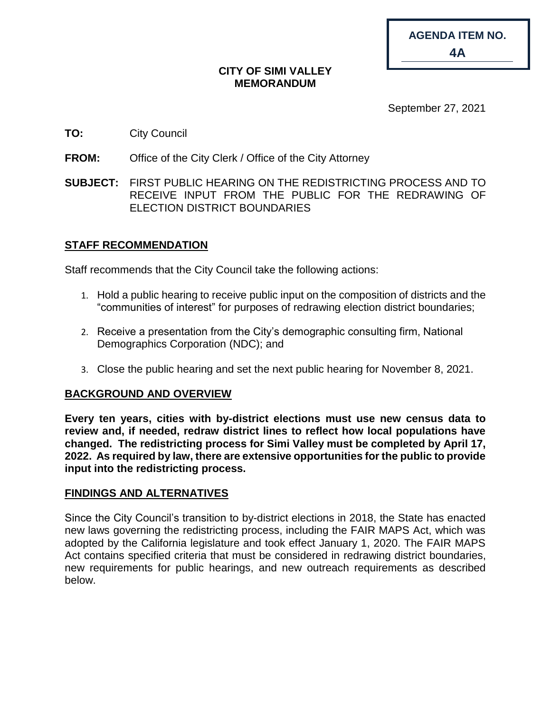| <b>AGENDA ITEM NO.</b> |
|------------------------|
| 4A                     |

#### **CITY OF SIMI VALLEY MEMORANDUM**

September 27, 2021

## **TO:** City Council

- **FROM:** Office of the City Clerk / Office of the City Attorney
- **SUBJECT:** FIRST PUBLIC HEARING ON THE REDISTRICTING PROCESS AND TO RECEIVE INPUT FROM THE PUBLIC FOR THE REDRAWING OF ELECTION DISTRICT BOUNDARIES

## **STAFF RECOMMENDATION**

Staff recommends that the City Council take the following actions:

- 1. Hold a public hearing to receive public input on the composition of districts and the "communities of interest" for purposes of redrawing election district boundaries;
- 2. Receive a presentation from the City's demographic consulting firm, National Demographics Corporation (NDC); and
- 3. Close the public hearing and set the next public hearing for November 8, 2021.

#### **BACKGROUND AND OVERVIEW**

**Every ten years, cities with by-district elections must use new census data to review and, if needed, redraw district lines to reflect how local populations have changed. The redistricting process for Simi Valley must be completed by April 17, 2022. As required by law, there are extensive opportunities for the public to provide input into the redistricting process.** 

#### **FINDINGS AND ALTERNATIVES**

Since the City Council's transition to by-district elections in 2018, the State has enacted new laws governing the redistricting process, including the FAIR MAPS Act, which was adopted by the California legislature and took effect January 1, 2020. The FAIR MAPS Act contains specified criteria that must be considered in redrawing district boundaries, new requirements for public hearings, and new outreach requirements as described below.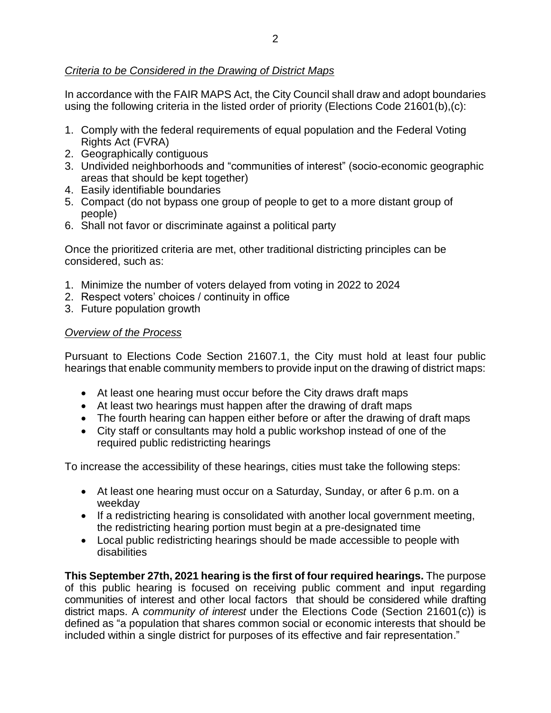In accordance with the FAIR MAPS Act, the City Council shall draw and adopt boundaries using the following criteria in the listed order of priority (Elections Code 21601(b),(c):

- 1. Comply with the federal requirements of equal population and the Federal Voting Rights Act (FVRA)
- 2. Geographically contiguous
- 3. Undivided neighborhoods and "communities of interest" (socio-economic geographic areas that should be kept together)
- 4. Easily identifiable boundaries
- 5. Compact (do not bypass one group of people to get to a more distant group of people)
- 6. Shall not favor or discriminate against a political party

Once the prioritized criteria are met, other traditional districting principles can be considered, such as:

- 1. Minimize the number of voters delayed from voting in 2022 to 2024
- 2. Respect voters' choices / continuity in office
- 3. Future population growth

#### *Overview of the Process*

Pursuant to Elections Code Section 21607.1, the City must hold at least four public hearings that enable community members to provide input on the drawing of district maps:

- At least one hearing must occur before the City draws draft maps
- At least two hearings must happen after the drawing of draft maps
- The fourth hearing can happen either before or after the drawing of draft maps
- City staff or consultants may hold a public workshop instead of one of the required public redistricting hearings

To increase the accessibility of these hearings, cities must take the following steps:

- At least one hearing must occur on a Saturday, Sunday, or after 6 p.m. on a weekday
- If a redistricting hearing is consolidated with another local government meeting, the redistricting hearing portion must begin at a pre-designated time
- Local public redistricting hearings should be made accessible to people with disabilities

**This September 27th, 2021 hearing is the first of four required hearings.** The purpose of this public hearing is focused on receiving public comment and input regarding communities of interest and other local factors that should be considered while drafting district maps. A *community of interest* under the Elections Code (Section 21601(c)) is defined as "a population that shares common social or economic interests that should be included within a single district for purposes of its effective and fair representation."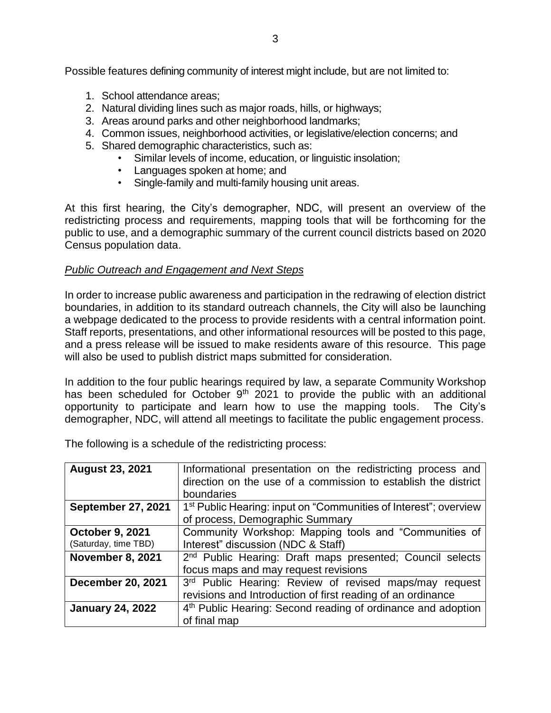Possible features defining community of interest might include, but are not limited to:

- 1. School attendance areas;
- 2. Natural dividing lines such as major roads, hills, or highways;
- 3. Areas around parks and other neighborhood landmarks;
- 4. Common issues, neighborhood activities, or legislative/election concerns; and
- 5. Shared demographic characteristics, such as:
	- Similar levels of income, education, or linguistic insolation;
	- Languages spoken at home; and
	- Single-family and multi-family housing unit areas.

At this first hearing, the City's demographer, NDC, will present an overview of the redistricting process and requirements, mapping tools that will be forthcoming for the public to use, and a demographic summary of the current council districts based on 2020 Census population data.

## *Public Outreach and Engagement and Next Steps*

In order to increase public awareness and participation in the redrawing of election district boundaries, in addition to its standard outreach channels, the City will also be launching a webpage dedicated to the process to provide residents with a central information point. Staff reports, presentations, and other informational resources will be posted to this page, and a press release will be issued to make residents aware of this resource. This page will also be used to publish district maps submitted for consideration.

In addition to the four public hearings required by law, a separate Community Workshop has been scheduled for October 9<sup>th</sup> 2021 to provide the public with an additional opportunity to participate and learn how to use the mapping tools. The City's demographer, NDC, will attend all meetings to facilitate the public engagement process.

The following is a schedule of the redistricting process:

| <b>August 23, 2021</b>    | Informational presentation on the redistricting process and                  |
|---------------------------|------------------------------------------------------------------------------|
|                           | direction on the use of a commission to establish the district               |
|                           | boundaries                                                                   |
| <b>September 27, 2021</b> | 1 <sup>st</sup> Public Hearing: input on "Communities of Interest"; overview |
|                           | of process, Demographic Summary                                              |
| <b>October 9, 2021</b>    | Community Workshop: Mapping tools and "Communities of                        |
| (Saturday, time TBD)      | Interest" discussion (NDC & Staff)                                           |
| <b>November 8, 2021</b>   | 2 <sup>nd</sup> Public Hearing: Draft maps presented; Council selects        |
|                           | focus maps and may request revisions                                         |
| <b>December 20, 2021</b>  | 3rd Public Hearing: Review of revised maps/may request                       |
|                           | revisions and Introduction of first reading of an ordinance                  |
| <b>January 24, 2022</b>   | 4 <sup>th</sup> Public Hearing: Second reading of ordinance and adoption     |
|                           | of final map                                                                 |